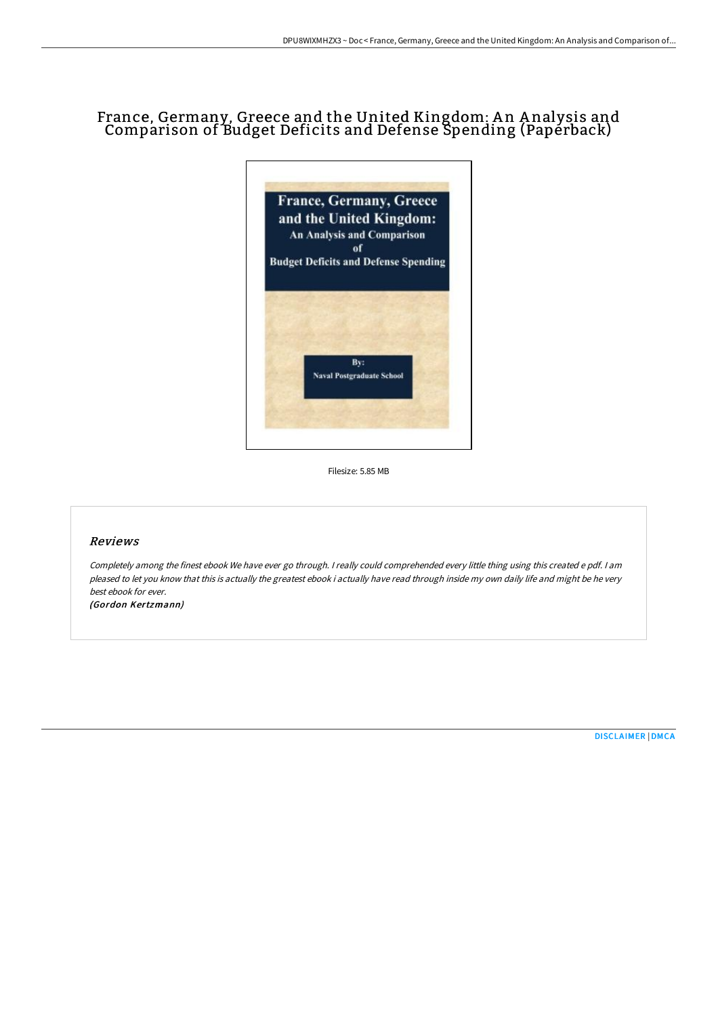## France, Germany, Greece and the United Kingdom: An Analysis and Comparison of Budget Deficits and Defense Spending (Paperback)



Filesize: 5.85 MB

## Reviews

Completely among the finest ebook We have ever go through. <sup>I</sup> really could comprehended every little thing using this created <sup>e</sup> pdf. <sup>I</sup> am pleased to let you know that this is actually the greatest ebook i actually have read through inside my own daily life and might be he very best ebook for ever.

(Gordon Kertzmann)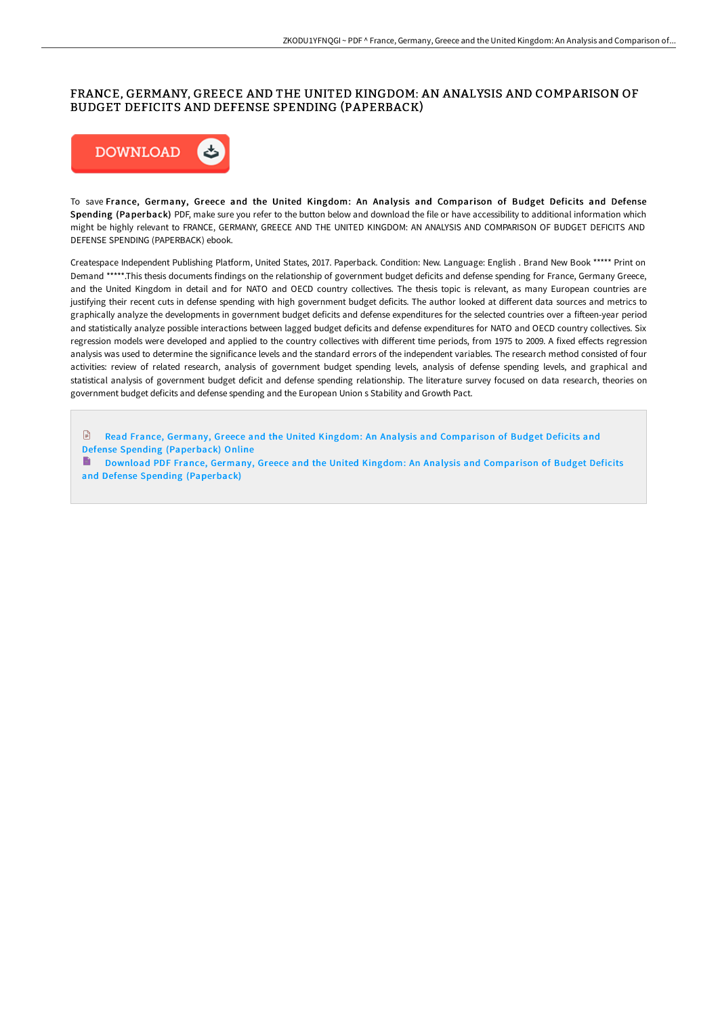## FRANCE, GERMANY, GREECE AND THE UNITED KINGDOM: AN ANALYSIS AND COMPARISON OF BUDGET DEFICITS AND DEFENSE SPENDING (PAPERBACK)



To save France, Germany, Greece and the United Kingdom: An Analysis and Comparison of Budget Deficits and Defense Spending (Paperback) PDF, make sure you refer to the button below and download the file or have accessibility to additional information which might be highly relevant to FRANCE, GERMANY, GREECE AND THE UNITED KINGDOM: AN ANALYSIS AND COMPARISON OF BUDGET DEFICITS AND DEFENSE SPENDING (PAPERBACK) ebook.

Createspace Independent Publishing Platform, United States, 2017. Paperback. Condition: New. Language: English . Brand New Book \*\*\*\*\* Print on Demand \*\*\*\*\*.This thesis documents findings on the relationship of government budget deficits and defense spending for France, Germany Greece, and the United Kingdom in detail and for NATO and OECD country collectives. The thesis topic is relevant, as many European countries are justifying their recent cuts in defense spending with high government budget deficits. The author looked at different data sources and metrics to graphically analyze the developments in government budget deficits and defense expenditures for the selected countries over a fifteen-year period and statistically analyze possible interactions between lagged budget deficits and defense expenditures for NATO and OECD country collectives. Six regression models were developed and applied to the country collectives with different time periods, from 1975 to 2009. A fixed effects regression analysis was used to determine the significance levels and the standard errors of the independent variables. The research method consisted of four activities: review of related research, analysis of government budget spending levels, analysis of defense spending levels, and graphical and statistical analysis of government budget deficit and defense spending relationship. The literature survey focused on data research, theories on government budget deficits and defense spending and the European Union s Stability and Growth Pact.

 $\mathbb{R}$ Read France, Germany, Greece and the United Kingdom: An Analysis and [Comparison](http://digilib.live/france-germany-greece-and-the-united-kingdom-an-.html) of Budget Deficits and Defense Spending (Paperback) Online

Download PDF France, Germany, Greece and the United Kingdom: An Analysis and Comparison of Budget Deficits and Defense Spending [\(Paperback\)](http://digilib.live/france-germany-greece-and-the-united-kingdom-an-.html)